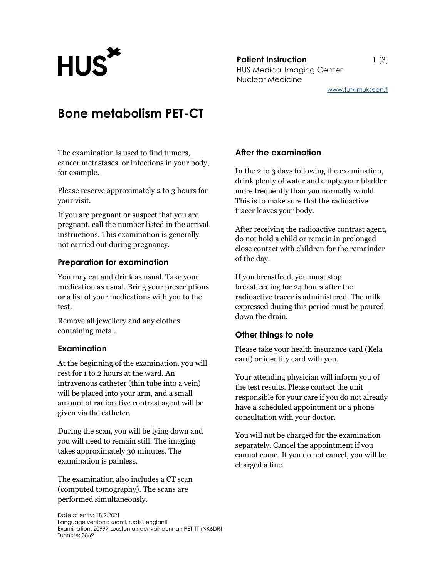**Patient Instruction** 1 (3) Patient Instruction<br>HUS Medical Imaging Center Nuclear Medicine

# Bone metabolism PET-CT

The examination is used to find tumors, cancer metastases, or infections in your body, for example.

Please reserve approximately 2 to 3 hours for your visit.

If you are pregnant or suspect that you are pregnant, call the number listed in the arrival instructions. This examination is generally not carried out during pregnancy.

#### Preparation for examination

You may eat and drink as usual. Take your medication as usual. Bring your prescriptions or a list of your medications with you to the test.

Remove all jewellery and any clothes containing metal.

#### Examination

At the beginning of the examination, you will rest for 1 to 2 hours at the ward. An intravenous catheter (thin tube into a vein) will be placed into your arm, and a small amount of radioactive contrast agent will be given via the catheter.

During the scan, you will be lying down and you will need to remain still. The imaging takes approximately 30 minutes. The examination is painless.

The examination also includes a CT scan (computed tomography). The scans are performed simultaneously.

#### Date of entry: 18.2.2021 Language versions: suomi, ruotsi, englanti Examination: 20997 Luuston aineenvaihdunnan PET-TT (NK6DR); Tunniste: 3869

## After the examination

In the 2 to 3 days following the examination, drink plenty of water and empty your bladder more frequently than you normally would. This is to make sure that the radioactive tracer leaves your body.

After receiving the radioactive contrast agent, do not hold a child or remain in prolonged close contact with children for the remainder of the day.

If you breastfeed, you must stop breastfeeding for 24 hours after the radioactive tracer is administered. The milk expressed during this period must be poured down the drain.

## Other things to note

Please take your health insurance card (Kela card) or identity card with you.

Your attending physician will inform you of the test results. Please contact the unit responsible for your care if you do not already have a scheduled appointment or a phone consultation with your doctor.

You will not be charged for the examination separately. Cancel the appointment if you cannot come. If you do not cancel, you will be charged a fine.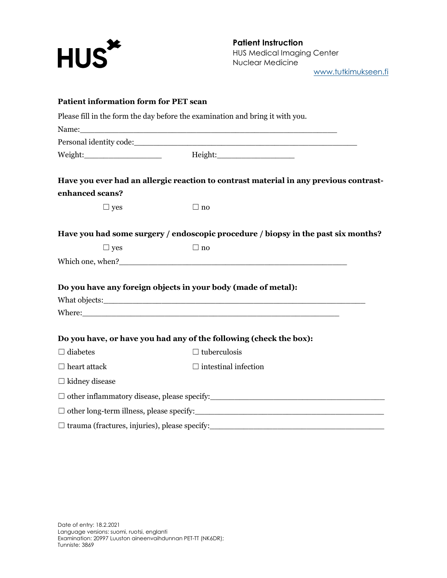

Patient Instruction HUS Medical Imaging Center Nuclear Medicine www.tutkimukseen.fi

|                       | Please fill in the form the day before the examination and bring it with you.                                                                                                                                                  |
|-----------------------|--------------------------------------------------------------------------------------------------------------------------------------------------------------------------------------------------------------------------------|
|                       |                                                                                                                                                                                                                                |
|                       |                                                                                                                                                                                                                                |
|                       | Weight: Meight: Meight: Meight: Meight: Meight: Meight: Meight: Meight: Meight: Meight: Meight: Meight: Meight: Meight: Meight: Meight: Meight: Meight: Meight: Meight: Meight: Meight: Meight: Meight: Meight: Meight: Meight |
|                       | Have you ever had an allergic reaction to contrast material in any previous contrast-                                                                                                                                          |
| enhanced scans?       |                                                                                                                                                                                                                                |
| $\Box$ yes            | $\Box$ no                                                                                                                                                                                                                      |
|                       | Have you had some surgery / endoscopic procedure / biopsy in the past six months?                                                                                                                                              |
| $\Box$ yes            | $\Box$ no                                                                                                                                                                                                                      |
|                       |                                                                                                                                                                                                                                |
|                       | Do you have any foreign objects in your body (made of metal):                                                                                                                                                                  |
|                       |                                                                                                                                                                                                                                |
|                       |                                                                                                                                                                                                                                |
|                       | Do you have, or have you had any of the following (check the box):                                                                                                                                                             |
| $\Box$ diabetes       | $\Box$ tuberculosis                                                                                                                                                                                                            |
| $\Box$ heart attack   | $\Box$ intestinal infection                                                                                                                                                                                                    |
| $\Box$ kidney disease |                                                                                                                                                                                                                                |
|                       |                                                                                                                                                                                                                                |
|                       |                                                                                                                                                                                                                                |